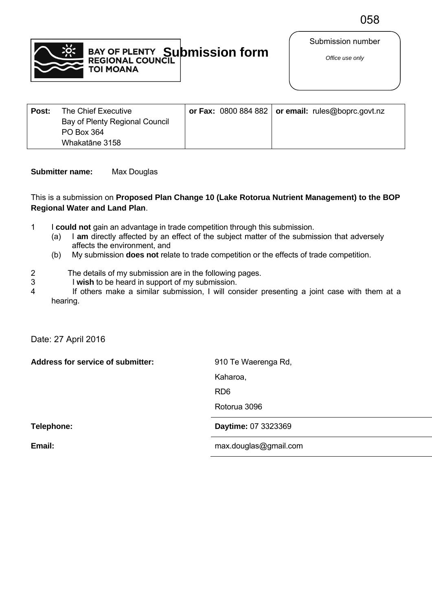

Submission number

| Post: | The Chief Executive            |  | or Fax: $0800884882$ or email: rules@boprc.govt.nz |
|-------|--------------------------------|--|----------------------------------------------------|
|       | Bay of Plenty Regional Council |  |                                                    |
|       | PO Box 364                     |  |                                                    |
|       | Whakatāne 3158                 |  |                                                    |

## **Submitter name:** Max Douglas

#### This is a submission on **Proposed Plan Change 10 (Lake Rotorua Nutrient Management) to the BOP Regional Water and Land Plan**.

- 1 I **could not** gain an advantage in trade competition through this submission.
	- (a) I **am** directly affected by an effect of the subject matter of the submission that adversely affects the environment, and
	- (b) My submission **does not** relate to trade competition or the effects of trade competition.
- 2 The details of my submission are in the following pages.<br>3 I wish to be heard in support of my submission.
	- I wish to be heard in support of my submission.
- 4 If others make a similar submission, I will consider presenting a joint case with them at a hearing.

Date: 27 April 2016

Address for service of submitter: 910 Te Waerenga Rd,

Kaharoa,

RD6

Rotorua 3096

**Telephone: Daytime:** 07 3323369

**Email: Email: Email: Email: Email: Fax: Email: Fax: Email: Fax: Email: Fax: Fax: Fax: Fax: Fax: Fax: Fax: Fax: Fax: Fax: Fax: Fax: Fax: Fax: Fax: Fax: Fax: Fax: Fa**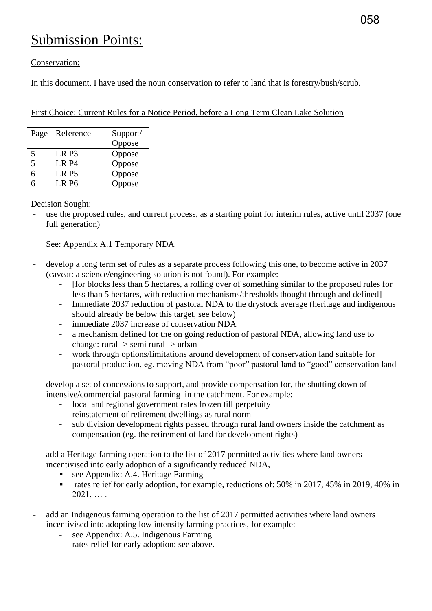# Submission Points:

## Conservation:

In this document, I have used the noun conservation to refer to land that is forestry/bush/scrub.

| First Choice: Current Rules for a Notice Period, before a Long Term Clean Lake Solution |  |
|-----------------------------------------------------------------------------------------|--|
|-----------------------------------------------------------------------------------------|--|

| Page | Reference         | Support/ |
|------|-------------------|----------|
|      |                   | Oppose   |
| 5    | LR P3             | Oppose   |
| 5    | LR P <sub>4</sub> | Oppose   |
| 6    | LR P5             | Oppose   |
|      | LR P6             | opose    |

Decision Sought:

use the proposed rules, and current process, as a starting point for interim rules, active until 2037 (one full generation)

See: Appendix A.1 Temporary NDA

- develop a long term set of rules as a separate process following this one, to become active in 2037 (caveat: a science/engineering solution is not found). For example:
	- [for blocks less than 5 hectares, a rolling over of something similar to the proposed rules for less than 5 hectares, with reduction mechanisms/thresholds thought through and defined]
	- Immediate 2037 reduction of pastoral NDA to the drystock average (heritage and indigenous should already be below this target, see below)
	- immediate 2037 increase of conservation NDA
	- a mechanism defined for the on going reduction of pastoral NDA, allowing land use to change: rural -> semi rural -> urban
	- work through options/limitations around development of conservation land suitable for pastoral production, eg. moving NDA from "poor" pastoral land to "good" conservation land
- develop a set of concessions to support, and provide compensation for, the shutting down of intensive/commercial pastoral farming in the catchment. For example:
	- local and regional government rates frozen till perpetuity
	- reinstatement of retirement dwellings as rural norm
	- sub division development rights passed through rural land owners inside the catchment as compensation (eg. the retirement of land for development rights)
- add a Heritage farming operation to the list of 2017 permitted activities where land owners incentivised into early adoption of a significantly reduced NDA,
	- see Appendix: A.4. Heritage Farming
	- rates relief for early adoption, for example, reductions of: 50% in 2017, 45% in 2019, 40% in  $2021, \ldots$ .
- add an Indigenous farming operation to the list of 2017 permitted activities where land owners incentivised into adopting low intensity farming practices, for example:
	- see Appendix: A.5. Indigenous Farming
	- rates relief for early adoption: see above.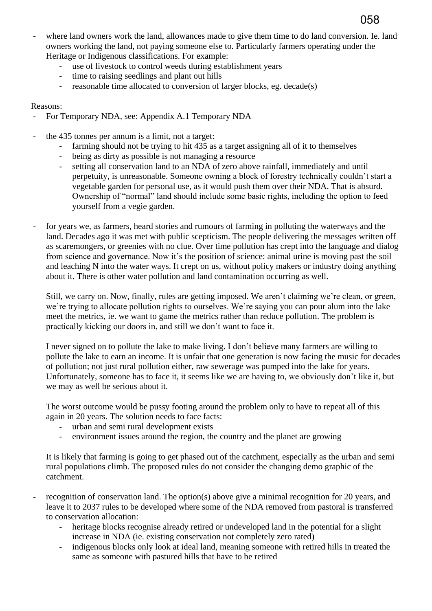where land owners work the land, allowances made to give them time to do land conversion. Ie. land owners working the land, not paying someone else to. Particularly farmers operating under the Heritage or Indigenous classifications. For example:

058

- use of livestock to control weeds during establishment years
- time to raising seedlings and plant out hills
- reasonable time allocated to conversion of larger blocks, eg. decade(s)

#### Reasons:

- For Temporary NDA, see: Appendix A.1 Temporary NDA
- the 435 tonnes per annum is a limit, not a target:
	- farming should not be trying to hit 435 as a target assigning all of it to themselves
	- being as dirty as possible is not managing a resource
	- setting all conservation land to an NDA of zero above rainfall, immediately and until perpetuity, is unreasonable. Someone owning a block of forestry technically couldn't start a vegetable garden for personal use, as it would push them over their NDA. That is absurd. Ownership of "normal" land should include some basic rights, including the option to feed yourself from a vegie garden.
	- for years we, as farmers, heard stories and rumours of farming in polluting the waterways and the land. Decades ago it was met with public scepticism. The people delivering the messages written off as scaremongers, or greenies with no clue. Over time pollution has crept into the language and dialog from science and governance. Now it's the position of science: animal urine is moving past the soil and leaching N into the water ways. It crept on us, without policy makers or industry doing anything about it. There is other water pollution and land contamination occurring as well.

Still, we carry on. Now, finally, rules are getting imposed. We aren't claiming we're clean, or green, we're trying to allocate pollution rights to ourselves. We're saying you can pour alum into the lake meet the metrics, ie. we want to game the metrics rather than reduce pollution. The problem is practically kicking our doors in, and still we don't want to face it.

I never signed on to pollute the lake to make living. I don't believe many farmers are willing to pollute the lake to earn an income. It is unfair that one generation is now facing the music for decades of pollution; not just rural pollution either, raw sewerage was pumped into the lake for years. Unfortunately, someone has to face it, it seems like we are having to, we obviously don't like it, but we may as well be serious about it.

The worst outcome would be pussy footing around the problem only to have to repeat all of this again in 20 years. The solution needs to face facts:

- urban and semi rural development exists
- environment issues around the region, the country and the planet are growing

It is likely that farming is going to get phased out of the catchment, especially as the urban and semi rural populations climb. The proposed rules do not consider the changing demo graphic of the catchment.

recognition of conservation land. The option(s) above give a minimal recognition for 20 years, and leave it to 2037 rules to be developed where some of the NDA removed from pastoral is transferred to conservation allocation:

- heritage blocks recognise already retired or undeveloped land in the potential for a slight increase in NDA (ie. existing conservation not completely zero rated)
- indigenous blocks only look at ideal land, meaning someone with retired hills in treated the same as someone with pastured hills that have to be retired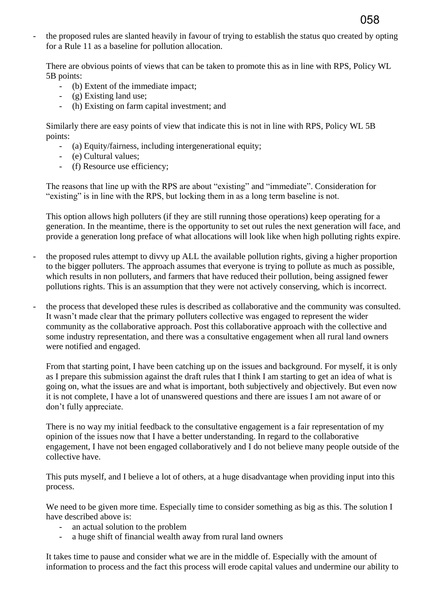the proposed rules are slanted heavily in favour of trying to establish the status quo created by opting for a Rule 11 as a baseline for pollution allocation.

058

There are obvious points of views that can be taken to promote this as in line with RPS, Policy WL 5B points:

- (b) Extent of the immediate impact;
- (g) Existing land use;
- (h) Existing on farm capital investment; and

Similarly there are easy points of view that indicate this is not in line with RPS, Policy WL 5B points:

- (a) Equity/fairness, including intergenerational equity;
- (e) Cultural values;
- (f) Resource use efficiency;

The reasons that line up with the RPS are about "existing" and "immediate". Consideration for "existing" is in line with the RPS, but locking them in as a long term baseline is not.

This option allows high polluters (if they are still running those operations) keep operating for a generation. In the meantime, there is the opportunity to set out rules the next generation will face, and provide a generation long preface of what allocations will look like when high polluting rights expire.

- the proposed rules attempt to divvy up ALL the available pollution rights, giving a higher proportion to the bigger polluters. The approach assumes that everyone is trying to pollute as much as possible, which results in non polluters, and farmers that have reduced their pollution, being assigned fewer pollutions rights. This is an assumption that they were not actively conserving, which is incorrect.
- the process that developed these rules is described as collaborative and the community was consulted. It wasn't made clear that the primary polluters collective was engaged to represent the wider community as the collaborative approach. Post this collaborative approach with the collective and some industry representation, and there was a consultative engagement when all rural land owners were notified and engaged.

From that starting point, I have been catching up on the issues and background. For myself, it is only as I prepare this submission against the draft rules that I think I am starting to get an idea of what is going on, what the issues are and what is important, both subjectively and objectively. But even now it is not complete, I have a lot of unanswered questions and there are issues I am not aware of or don't fully appreciate.

There is no way my initial feedback to the consultative engagement is a fair representation of my opinion of the issues now that I have a better understanding. In regard to the collaborative engagement, I have not been engaged collaboratively and I do not believe many people outside of the collective have.

This puts myself, and I believe a lot of others, at a huge disadvantage when providing input into this process.

We need to be given more time. Especially time to consider something as big as this. The solution I have described above is:

- an actual solution to the problem
- a huge shift of financial wealth away from rural land owners

It takes time to pause and consider what we are in the middle of. Especially with the amount of information to process and the fact this process will erode capital values and undermine our ability to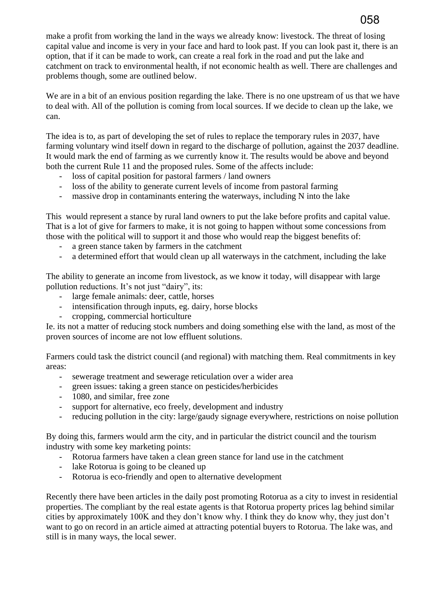make a profit from working the land in the ways we already know: livestock. The threat of losing capital value and income is very in your face and hard to look past. If you can look past it, there is an option, that if it can be made to work, can create a real fork in the road and put the lake and catchment on track to environmental health, if not economic health as well. There are challenges and problems though, some are outlined below.

We are in a bit of an envious position regarding the lake. There is no one upstream of us that we have to deal with. All of the pollution is coming from local sources. If we decide to clean up the lake, we can.

The idea is to, as part of developing the set of rules to replace the temporary rules in 2037, have farming voluntary wind itself down in regard to the discharge of pollution, against the 2037 deadline. It would mark the end of farming as we currently know it. The results would be above and beyond both the current Rule 11 and the proposed rules. Some of the affects include:

- loss of capital position for pastoral farmers / land owners
- loss of the ability to generate current levels of income from pastoral farming
- massive drop in contaminants entering the waterways, including N into the lake

This would represent a stance by rural land owners to put the lake before profits and capital value. That is a lot of give for farmers to make, it is not going to happen without some concessions from those with the political will to support it and those who would reap the biggest benefits of:

- a green stance taken by farmers in the catchment
- a determined effort that would clean up all waterways in the catchment, including the lake

The ability to generate an income from livestock, as we know it today, will disappear with large pollution reductions. It's not just "dairy", its:

- large female animals: deer, cattle, horses
- intensification through inputs, eg. dairy, horse blocks
- cropping, commercial horticulture

Ie. its not a matter of reducing stock numbers and doing something else with the land, as most of the proven sources of income are not low effluent solutions.

Farmers could task the district council (and regional) with matching them. Real commitments in key areas:

- sewerage treatment and sewerage reticulation over a wider area
- green issues: taking a green stance on pesticides/herbicides
- 1080, and similar, free zone
- support for alternative, eco freely, development and industry
- reducing pollution in the city: large/gaudy signage everywhere, restrictions on noise pollution

By doing this, farmers would arm the city, and in particular the district council and the tourism industry with some key marketing points:

- Rotorua farmers have taken a clean green stance for land use in the catchment
- lake Rotorua is going to be cleaned up
- Rotorua is eco-friendly and open to alternative development

Recently there have been articles in the daily post promoting Rotorua as a city to invest in residential properties. The compliant by the real estate agents is that Rotorua property prices lag behind similar cities by approximately 100K and they don't know why. I think they do know why, they just don't want to go on record in an article aimed at attracting potential buyers to Rotorua. The lake was, and still is in many ways, the local sewer.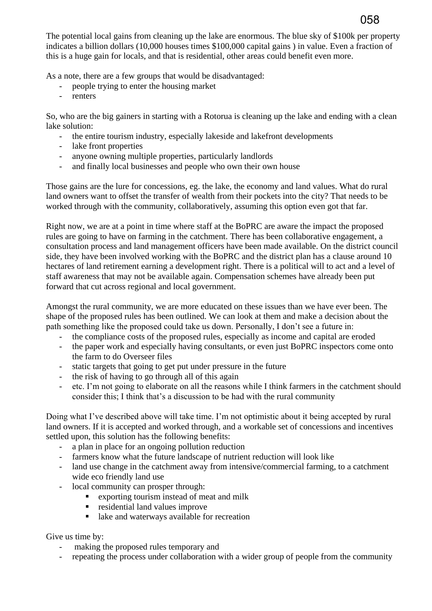The potential local gains from cleaning up the lake are enormous. The blue sky of \$100k per property indicates a billion dollars (10,000 houses times \$100,000 capital gains ) in value. Even a fraction of this is a huge gain for locals, and that is residential, other areas could benefit even more.

058

As a note, there are a few groups that would be disadvantaged:

- people trying to enter the housing market
- renters

So, who are the big gainers in starting with a Rotorua is cleaning up the lake and ending with a clean lake solution:

- the entire tourism industry, especially lakeside and lakefront developments
- lake front properties
- anyone owning multiple properties, particularly landlords
- and finally local businesses and people who own their own house

Those gains are the lure for concessions, eg. the lake, the economy and land values. What do rural land owners want to offset the transfer of wealth from their pockets into the city? That needs to be worked through with the community, collaboratively, assuming this option even got that far.

Right now, we are at a point in time where staff at the BoPRC are aware the impact the proposed rules are going to have on farming in the catchment. There has been collaborative engagement, a consultation process and land management officers have been made available. On the district council side, they have been involved working with the BoPRC and the district plan has a clause around 10 hectares of land retirement earning a development right. There is a political will to act and a level of staff awareness that may not be available again. Compensation schemes have already been put forward that cut across regional and local government.

Amongst the rural community, we are more educated on these issues than we have ever been. The shape of the proposed rules has been outlined. We can look at them and make a decision about the path something like the proposed could take us down. Personally, I don't see a future in:

- the compliance costs of the proposed rules, especially as income and capital are eroded
- the paper work and especially having consultants, or even just BoPRC inspectors come onto the farm to do Overseer files
- static targets that going to get put under pressure in the future
- the risk of having to go through all of this again
- etc. I'm not going to elaborate on all the reasons while I think farmers in the catchment should consider this; I think that's a discussion to be had with the rural community

Doing what I've described above will take time. I'm not optimistic about it being accepted by rural land owners. If it is accepted and worked through, and a workable set of concessions and incentives settled upon, this solution has the following benefits:

- a plan in place for an ongoing pollution reduction
- farmers know what the future landscape of nutrient reduction will look like
- land use change in the catchment away from intensive/commercial farming, to a catchment wide eco friendly land use
- local community can prosper through:
	- exporting tourism instead of meat and milk
	- **residential land values improve**
	- lake and waterways available for recreation

Give us time by:

- making the proposed rules temporary and
- repeating the process under collaboration with a wider group of people from the community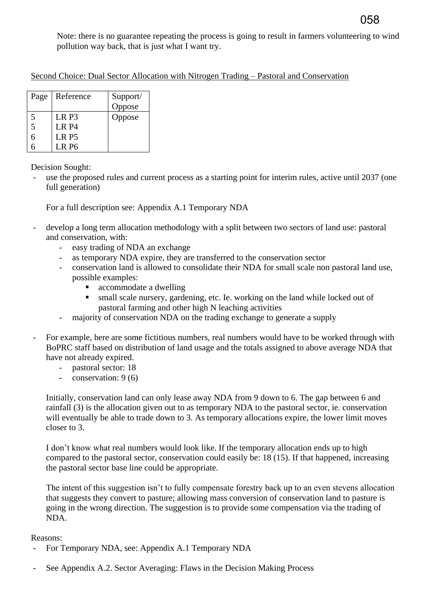Note: there is no guarantee repeating the process is going to result in farmers volunteering to wind pollution way back, that is just what I want try.

| Second Choice: Dual Sector Allocation with Nitrogen Trading – Pastoral and Conservation |
|-----------------------------------------------------------------------------------------|
|-----------------------------------------------------------------------------------------|

| Page                    | Reference        | Support/ |
|-------------------------|------------------|----------|
|                         |                  | Oppose   |
| $\overline{\mathbf{5}}$ | LR <sub>P3</sub> | Oppose   |
| 5                       | <b>LR P4</b>     |          |
| h                       | LR <sub>P5</sub> |          |
|                         | LR P6            |          |

Decision Sought:

use the proposed rules and current process as a starting point for interim rules, active until 2037 (one full generation)

For a full description see: Appendix A.1 Temporary NDA

- develop a long term allocation methodology with a split between two sectors of land use: pastoral and conservation, with:
	- easy trading of NDA an exchange
	- as temporary NDA expire, they are transferred to the conservation sector
	- conservation land is allowed to consolidate their NDA for small scale non pastoral land use, possible examples:
		- accommodate a dwelling
		- small scale nursery, gardening, etc. Ie. working on the land while locked out of pastoral farming and other high N leaching activities
	- majority of conservation NDA on the trading exchange to generate a supply
- For example, here are some fictitious numbers, real numbers would have to be worked through with BoPRC staff based on distribution of land usage and the totals assigned to above average NDA that have not already expired.
	- pastoral sector: 18
	- conservation: 9 (6)

Initially, conservation land can only lease away NDA from 9 down to 6. The gap between 6 and rainfall (3) is the allocation given out to as temporary NDA to the pastoral sector, ie. conservation will eventually be able to trade down to 3. As temporary allocations expire, the lower limit moves closer to 3.

I don't know what real numbers would look like. If the temporary allocation ends up to high compared to the pastoral sector, conservation could easily be: 18 (15). If that happened, increasing the pastoral sector base line could be appropriate.

The intent of this suggestion isn't to fully compensate forestry back up to an even stevens allocation that suggests they convert to pasture; allowing mass conversion of conservation land to pasture is going in the wrong direction. The suggestion is to provide some compensation via the trading of NDA.

- For Temporary NDA, see: Appendix A.1 Temporary NDA
- See Appendix A.2. Sector Averaging: Flaws in the Decision Making Process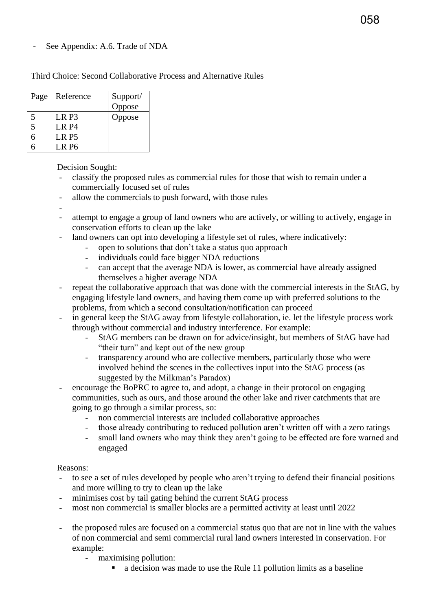## See Appendix: A.6. Trade of NDA

#### Third Choice: Second Collaborative Process and Alternative Rules

| Page | Reference        | Support/ |
|------|------------------|----------|
|      |                  | Oppose   |
| 5    | LR P3            | Oppose   |
| 5    | <b>LR P4</b>     |          |
| 6    | LR <sub>P5</sub> |          |
|      | LR P6            |          |

Decision Sought:

- classify the proposed rules as commercial rules for those that wish to remain under a commercially focused set of rules
- allow the commercials to push forward, with those rules
- -
- attempt to engage a group of land owners who are actively, or willing to actively, engage in conservation efforts to clean up the lake
- land owners can opt into developing a lifestyle set of rules, where indicatively:
	- open to solutions that don't take a status quo approach
	- individuals could face bigger NDA reductions
	- can accept that the average NDA is lower, as commercial have already assigned themselves a higher average NDA
- repeat the collaborative approach that was done with the commercial interests in the StAG, by engaging lifestyle land owners, and having them come up with preferred solutions to the problems, from which a second consultation/notification can proceed
- in general keep the StAG away from lifestyle collaboration, ie. let the lifestyle process work through without commercial and industry interference. For example:
	- StAG members can be drawn on for advice/insight, but members of StAG have had "their turn" and kept out of the new group
	- transparency around who are collective members, particularly those who were involved behind the scenes in the collectives input into the StAG process (as suggested by the Milkman's Paradox)
- encourage the BoPRC to agree to, and adopt, a change in their protocol on engaging communities, such as ours, and those around the other lake and river catchments that are going to go through a similar process, so:
	- non commercial interests are included collaborative approaches
	- those already contributing to reduced pollution aren't written off with a zero ratings
	- small land owners who may think they aren't going to be effected are fore warned and engaged

- to see a set of rules developed by people who aren't trying to defend their financial positions and more willing to try to clean up the lake
- minimises cost by tail gating behind the current StAG process
- most non commercial is smaller blocks are a permitted activity at least until 2022
- the proposed rules are focused on a commercial status quo that are not in line with the values of non commercial and semi commercial rural land owners interested in conservation. For example:
	- maximising pollution:
		- a decision was made to use the Rule 11 pollution limits as a baseline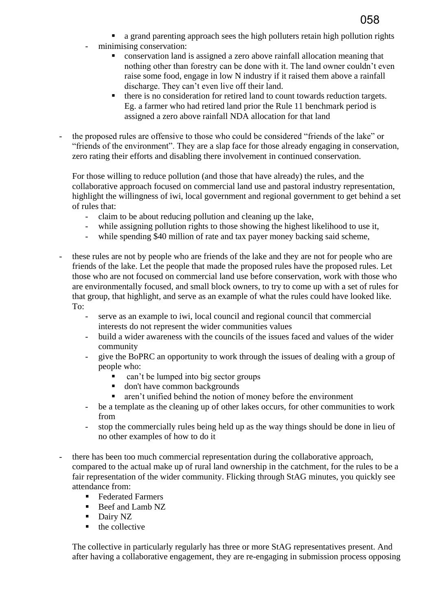

- a grand parenting approach sees the high polluters retain high pollution rights
- minimising conservation:
	- conservation land is assigned a zero above rainfall allocation meaning that nothing other than forestry can be done with it. The land owner couldn't even raise some food, engage in low N industry if it raised them above a rainfall discharge. They can't even live off their land.
	- there is no consideration for retired land to count towards reduction targets. Eg. a farmer who had retired land prior the Rule 11 benchmark period is assigned a zero above rainfall NDA allocation for that land
- the proposed rules are offensive to those who could be considered "friends of the lake" or "friends of the environment". They are a slap face for those already engaging in conservation, zero rating their efforts and disabling there involvement in continued conservation.

For those willing to reduce pollution (and those that have already) the rules, and the collaborative approach focused on commercial land use and pastoral industry representation, highlight the willingness of iwi, local government and regional government to get behind a set of rules that:

- claim to be about reducing pollution and cleaning up the lake,
- while assigning pollution rights to those showing the highest likelihood to use it,
- while spending \$40 million of rate and tax payer money backing said scheme,
- these rules are not by people who are friends of the lake and they are not for people who are friends of the lake. Let the people that made the proposed rules have the proposed rules. Let those who are not focused on commercial land use before conservation, work with those who are environmentally focused, and small block owners, to try to come up with a set of rules for that group, that highlight, and serve as an example of what the rules could have looked like. To:
	- serve as an example to iwi, local council and regional council that commercial interests do not represent the wider communities values
	- build a wider awareness with the councils of the issues faced and values of the wider community
	- give the BoPRC an opportunity to work through the issues of dealing with a group of people who:
		- can't be lumped into big sector groups
		- don't have common backgrounds
		- aren't unified behind the notion of money before the environment
	- be a template as the cleaning up of other lakes occurs, for other communities to work from
	- stop the commercially rules being held up as the way things should be done in lieu of no other examples of how to do it
- there has been too much commercial representation during the collaborative approach, compared to the actual make up of rural land ownership in the catchment, for the rules to be a fair representation of the wider community. Flicking through StAG minutes, you quickly see attendance from:
	- Federated Farmers
	- Beef and Lamb NZ
	- **Dairy NZ**
	- $\blacksquare$  the collective

The collective in particularly regularly has three or more StAG representatives present. And after having a collaborative engagement, they are re-engaging in submission process opposing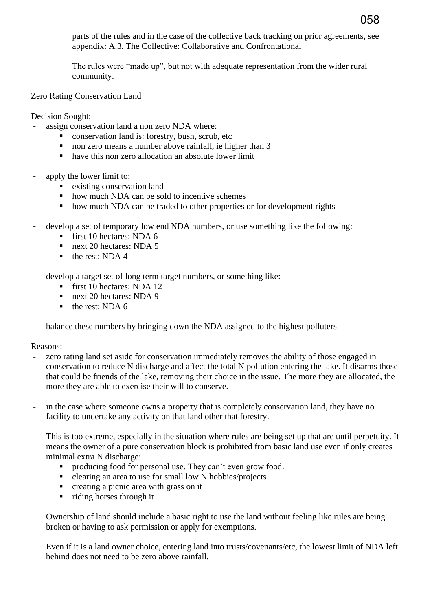parts of the rules and in the case of the collective back tracking on prior agreements, see appendix: A.3. The Collective: Collaborative and Confrontational

The rules were "made up", but not with adequate representation from the wider rural community.

Zero Rating Conservation Land

Decision Sought:

- assign conservation land a non zero NDA where:
	- **Conservation land is: forestry, bush, scrub, etc**
	- non zero means a number above rainfall, ie higher than 3
	- have this non zero allocation an absolute lower limit
- apply the lower limit to:
	- existing conservation land
	- how much NDA can be sold to incentive schemes
	- how much NDA can be traded to other properties or for development rights
- develop a set of temporary low end NDA numbers, or use something like the following:
	- first 10 hectares: NDA  $6$
	- next 20 hectares: NDA 5
	- $\blacksquare$  the rest: NDA 4
- develop a target set of long term target numbers, or something like:
	- first 10 hectares: NDA 12
	- next 20 hectares: NDA 9
	- $\blacksquare$  the rest: NDA 6
- balance these numbers by bringing down the NDA assigned to the highest polluters

Reasons:

- zero rating land set aside for conservation immediately removes the ability of those engaged in conservation to reduce N discharge and affect the total N pollution entering the lake. It disarms those that could be friends of the lake, removing their choice in the issue. The more they are allocated, the more they are able to exercise their will to conserve.
- in the case where someone owns a property that is completely conservation land, they have no facility to undertake any activity on that land other that forestry.

This is too extreme, especially in the situation where rules are being set up that are until perpetuity. It means the owner of a pure conservation block is prohibited from basic land use even if only creates minimal extra N discharge:

- producing food for personal use. They can't even grow food.
- clearing an area to use for small low N hobbies/projects
- creating a picnic area with grass on it
- riding horses through it

Ownership of land should include a basic right to use the land without feeling like rules are being broken or having to ask permission or apply for exemptions.

Even if it is a land owner choice, entering land into trusts/covenants/etc, the lowest limit of NDA left behind does not need to be zero above rainfall.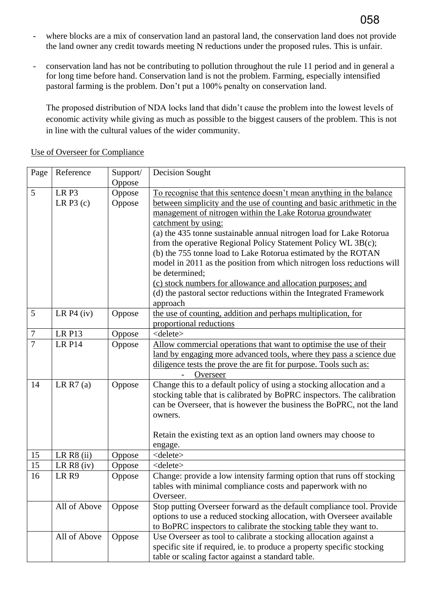- where blocks are a mix of conservation land an pastoral land, the conservation land does not provide the land owner any credit towards meeting N reductions under the proposed rules. This is unfair.
- conservation land has not be contributing to pollution throughout the rule 11 period and in general a for long time before hand. Conservation land is not the problem. Farming, especially intensified pastoral farming is the problem. Don't put a 100% penalty on conservation land.

The proposed distribution of NDA locks land that didn't cause the problem into the lowest levels of economic activity while giving as much as possible to the biggest causers of the problem. This is not in line with the cultural values of the wider community.

| Page            | Reference        | Support/ | Decision Sought                                                        |
|-----------------|------------------|----------|------------------------------------------------------------------------|
|                 |                  | Oppose   |                                                                        |
| 5               | LR <sub>P3</sub> | Oppose   | To recognise that this sentence doesn't mean anything in the balance   |
|                 | LR $P3(c)$       | Oppose   | between simplicity and the use of counting and basic arithmetic in the |
|                 |                  |          | management of nitrogen within the Lake Rotorua groundwater             |
|                 |                  |          | catchment by using:                                                    |
|                 |                  |          | (a) the 435 tonne sustainable annual nitrogen load for Lake Rotorua    |
|                 |                  |          | from the operative Regional Policy Statement Policy WL 3B(c);          |
|                 |                  |          | (b) the 755 tonne load to Lake Rotorua estimated by the ROTAN          |
|                 |                  |          | model in 2011 as the position from which nitrogen loss reductions will |
|                 |                  |          | be determined;                                                         |
|                 |                  |          | (c) stock numbers for allowance and allocation purposes; and           |
|                 |                  |          | (d) the pastoral sector reductions within the Integrated Framework     |
|                 |                  |          | approach                                                               |
| $5\overline{)}$ | LR $P4$ (iv)     | Oppose   | the use of counting, addition and perhaps multiplication, for          |
|                 |                  |          | proportional reductions                                                |
| $\overline{7}$  | <b>LR P13</b>    | Oppose   | <delete></delete>                                                      |
| $\overline{7}$  | <b>LR P14</b>    | Oppose   | Allow commercial operations that want to optimise the use of their     |
|                 |                  |          | land by engaging more advanced tools, where they pass a science due    |
|                 |                  |          | diligence tests the prove the are fit for purpose. Tools such as:      |
|                 |                  |          |                                                                        |
|                 |                  |          | Overseer                                                               |
| 14              | LR $R7(a)$       | Oppose   | Change this to a default policy of using a stocking allocation and a   |
|                 |                  |          | stocking table that is calibrated by BoPRC inspectors. The calibration |
|                 |                  |          | can be Overseer, that is however the business the BoPRC, not the land  |
|                 |                  |          | owners.                                                                |
|                 |                  |          |                                                                        |
|                 |                  |          | Retain the existing text as an option land owners may choose to        |
|                 |                  |          | engage.                                                                |
| 15              | LR $R8$ (ii)     | Oppose   | <delete></delete>                                                      |
| 15              | LR $R8$ (iv)     | Oppose   | <delete></delete>                                                      |
| 16              | LR <sub>R9</sub> | Oppose   | Change: provide a low intensity farming option that runs off stocking  |
|                 |                  |          | tables with minimal compliance costs and paperwork with no             |
|                 |                  |          | Overseer.                                                              |
|                 | All of Above     | Oppose   | Stop putting Overseer forward as the default compliance tool. Provide  |
|                 |                  |          | options to use a reduced stocking allocation, with Overseer available  |
|                 |                  |          | to BoPRC inspectors to calibrate the stocking table they want to.      |
|                 | All of Above     | Oppose   | Use Overseer as tool to calibrate a stocking allocation against a      |
|                 |                  |          | specific site if required, ie. to produce a property specific stocking |
|                 |                  |          | table or scaling factor against a standard table.                      |

Use of Overseer for Compliance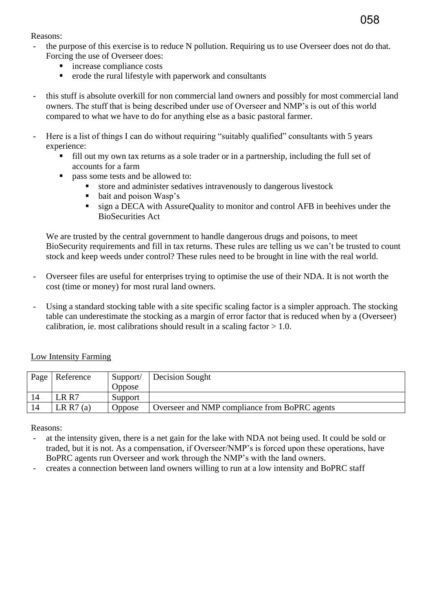#### Reasons:

- the purpose of this exercise is to reduce N pollution. Requiring us to use Overseer does not do that. Forcing the use of Overseer does:
	- increase compliance costs
	- $\blacksquare$  erode the rural lifestyle with paperwork and consultants
- this stuff is absolute overkill for non commercial land owners and possibly for most commercial land owners. The stuff that is being described under use of Overseer and NMP's is out of this world compared to what we have to do for anything else as a basic pastoral farmer.
- Here is a list of things I can do without requiring "suitably qualified" consultants with 5 years experience:
	- fill out my own tax returns as a sole trader or in a partnership, including the full set of accounts for a farm
	- **pass some tests and be allowed to:** 
		- store and administer sedatives intravenously to dangerous livestock
		- bait and poison Wasp's
		- sign a DECA with AssureQuality to monitor and control AFB in beehives under the BioSecurities Act

We are trusted by the central government to handle dangerous drugs and poisons, to meet BioSecurity requirements and fill in tax returns. These rules are telling us we can't be trusted to count stock and keep weeds under control? These rules need to be brought in line with the real world.

- Overseer files are useful for enterprises trying to optimise the use of their NDA. It is not worth the cost (time or money) for most rural land owners.
- Using a standard stocking table with a site specific scaling factor is a simpler approach. The stocking table can underestimate the stocking as a margin of error factor that is reduced when by a (Overseer) calibration, ie. most calibrations should result in a scaling factor  $> 1.0$ .

Low Intensity Farming

| Page | Reference   | Support/      | Decision Sought                               |
|------|-------------|---------------|-----------------------------------------------|
|      |             | <b>Oppose</b> |                                               |
|      | LR R7       | Support       |                                               |
|      | LR R7 $(a)$ | <b>Oppose</b> | Overseer and NMP compliance from BoPRC agents |

- at the intensity given, there is a net gain for the lake with NDA not being used. It could be sold or traded, but it is not. As a compensation, if Overseer/NMP's is forced upon these operations, have BoPRC agents run Overseer and work through the NMP's with the land owners.
- creates a connection between land owners willing to run at a low intensity and BoPRC staff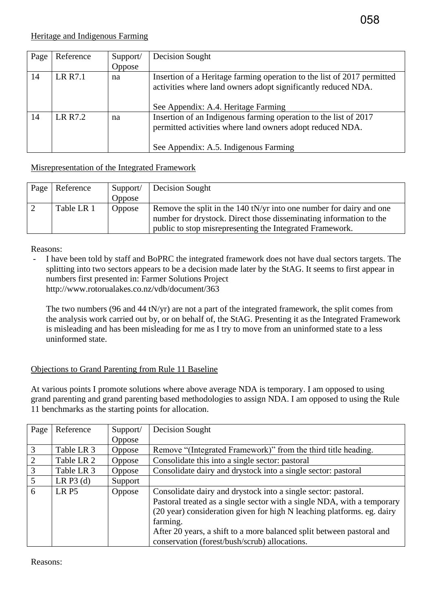| Page | Reference | Support/<br>Oppose | Decision Sought                                                                                                                          |
|------|-----------|--------------------|------------------------------------------------------------------------------------------------------------------------------------------|
| 14   | LR R7.1   | na                 | Insertion of a Heritage farming operation to the list of 2017 permitted<br>activities where land owners adopt significantly reduced NDA. |
|      |           |                    | See Appendix: A.4. Heritage Farming                                                                                                      |
| 14   | LR R7.2   | na                 | Insertion of an Indigenous farming operation to the list of 2017<br>permitted activities where land owners adopt reduced NDA.            |
|      |           |                    | See Appendix: A.5. Indigenous Farming                                                                                                    |

## Misrepresentation of the Integrated Framework

| Page | Reference  | Support/<br>Oppose | Decision Sought                                                                                                                                                                                       |
|------|------------|--------------------|-------------------------------------------------------------------------------------------------------------------------------------------------------------------------------------------------------|
|      | Table LR 1 | Oppose             | Remove the split in the 140 tN/yr into one number for dairy and one<br>number for drystock. Direct those disseminating information to the<br>public to stop misrepresenting the Integrated Framework. |

#### Reasons:

- I have been told by staff and BoPRC the integrated framework does not have dual sectors targets. The splitting into two sectors appears to be a decision made later by the StAG. It seems to first appear in numbers first presented in: Farmer Solutions Project http://www.rotorualakes.co.nz/vdb/document/363

The two numbers (96 and 44 tN/yr) are not a part of the integrated framework, the split comes from the analysis work carried out by, or on behalf of, the StAG. Presenting it as the Integrated Framework is misleading and has been misleading for me as I try to move from an uninformed state to a less uninformed state.

## Objections to Grand Parenting from Rule 11 Baseline

At various points I promote solutions where above average NDA is temporary. I am opposed to using grand parenting and grand parenting based methodologies to assign NDA. I am opposed to using the Rule 11 benchmarks as the starting points for allocation.

| Page           | Reference        | Support/      | Decision Sought                                                         |
|----------------|------------------|---------------|-------------------------------------------------------------------------|
|                |                  | Oppose        |                                                                         |
| $\overline{3}$ | Table LR 3       | <b>Oppose</b> | Remove "(Integrated Framework)" from the third title heading.           |
| 2              | Table LR 2       | Oppose        | Consolidate this into a single sector: pastoral                         |
| $\overline{3}$ | Table LR 3       | Oppose        | Consolidate dairy and drystock into a single sector: pastoral           |
| 5              | LR $P3(d)$       | Support       |                                                                         |
| 6              | LR <sub>P5</sub> | Oppose        | Consolidate dairy and drystock into a single sector: pastoral.          |
|                |                  |               | Pastoral treated as a single sector with a single NDA, with a temporary |
|                |                  |               | (20 year) consideration given for high N leaching platforms. eg. dairy  |
|                |                  |               | farming.                                                                |
|                |                  |               | After 20 years, a shift to a more balanced split between pastoral and   |
|                |                  |               | conservation (forest/bush/scrub) allocations.                           |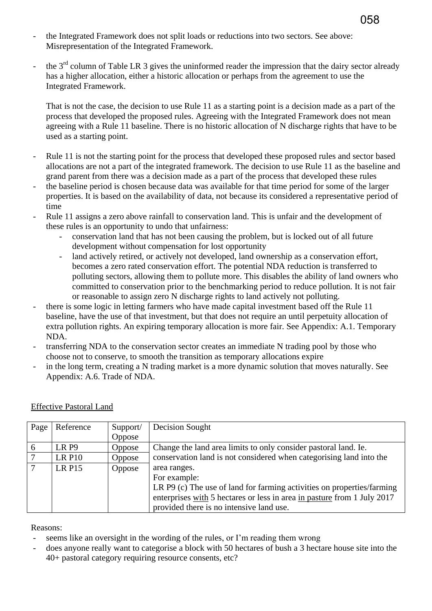- the Integrated Framework does not split loads or reductions into two sectors. See above: Misrepresentation of the Integrated Framework.
- the  $3<sup>rd</sup>$  column of Table LR 3 gives the uninformed reader the impression that the dairy sector already has a higher allocation, either a historic allocation or perhaps from the agreement to use the Integrated Framework.

That is not the case, the decision to use Rule 11 as a starting point is a decision made as a part of the process that developed the proposed rules. Agreeing with the Integrated Framework does not mean agreeing with a Rule 11 baseline. There is no historic allocation of N discharge rights that have to be used as a starting point.

- Rule 11 is not the starting point for the process that developed these proposed rules and sector based allocations are not a part of the integrated framework. The decision to use Rule 11 as the baseline and grand parent from there was a decision made as a part of the process that developed these rules
- the baseline period is chosen because data was available for that time period for some of the larger properties. It is based on the availability of data, not because its considered a representative period of time
- Rule 11 assigns a zero above rainfall to conservation land. This is unfair and the development of these rules is an opportunity to undo that unfairness:
	- conservation land that has not been causing the problem, but is locked out of all future development without compensation for lost opportunity
	- land actively retired, or actively not developed, land ownership as a conservation effort, becomes a zero rated conservation effort. The potential NDA reduction is transferred to polluting sectors, allowing them to pollute more. This disables the ability of land owners who committed to conservation prior to the benchmarking period to reduce pollution. It is not fair or reasonable to assign zero N discharge rights to land actively not polluting.
- there is some logic in letting farmers who have made capital investment based off the Rule 11 baseline, have the use of that investment, but that does not require an until perpetuity allocation of extra pollution rights. An expiring temporary allocation is more fair. See Appendix: A.1. Temporary NDA.
- transferring NDA to the conservation sector creates an immediate N trading pool by those who choose not to conserve, to smooth the transition as temporary allocations expire
- in the long term, creating a N trading market is a more dynamic solution that moves naturally. See Appendix: A.6. Trade of NDA.

| Page | Reference     | Support/ | Decision Sought                                                         |
|------|---------------|----------|-------------------------------------------------------------------------|
|      |               | Oppose   |                                                                         |
| 6    | LR P9         | Oppose   | Change the land area limits to only consider pastoral land. Ie.         |
| 7    | <b>LR P10</b> | Oppose   | conservation land is not considered when categorising land into the     |
| -7   | <b>LR P15</b> | Oppose   | area ranges.                                                            |
|      |               |          | For example:                                                            |
|      |               |          | LR P9 (c) The use of land for farming activities on properties/farming  |
|      |               |          | enterprises with 5 hectares or less in area in pasture from 1 July 2017 |
|      |               |          | provided there is no intensive land use.                                |

## Effective Pastoral Land

- seems like an oversight in the wording of the rules, or I'm reading them wrong
- does anyone really want to categorise a block with 50 hectares of bush a 3 hectare house site into the 40+ pastoral category requiring resource consents, etc?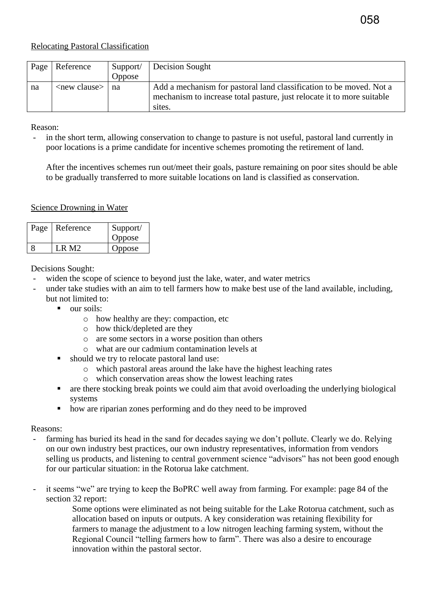#### Relocating Pastoral Classification

| Page | Reference                  | Support/<br>Oppose | Decision Sought                                                                                                                                         |
|------|----------------------------|--------------------|---------------------------------------------------------------------------------------------------------------------------------------------------------|
| na   | $\langle$ new clause $> 1$ | na                 | Add a mechanism for pastoral land classification to be moved. Not a<br>mechanism to increase total pasture, just relocate it to more suitable<br>sites. |

Reason:

in the short term, allowing conservation to change to pasture is not useful, pastoral land currently in poor locations is a prime candidate for incentive schemes promoting the retirement of land.

After the incentives schemes run out/meet their goals, pasture remaining on poor sites should be able to be gradually transferred to more suitable locations on land is classified as conservation.

#### Science Drowning in Water

| Page | Reference | Support/<br>Oppose |
|------|-----------|--------------------|
|      | I R M2    | Oppose             |

Decisions Sought:

- widen the scope of science to beyond just the lake, water, and water metrics
- under take studies with an aim to tell farmers how to make best use of the land available, including, but not limited to:
	- our soils:
		- o how healthy are they: compaction, etc
		- o how thick/depleted are they
		- o are some sectors in a worse position than others
		- o what are our cadmium contamination levels at
	- should we try to relocate pastoral land use:
		- o which pastoral areas around the lake have the highest leaching rates
		- o which conservation areas show the lowest leaching rates
	- are there stocking break points we could aim that avoid overloading the underlying biological systems
	- how are riparian zones performing and do they need to be improved

- farming has buried its head in the sand for decades saying we don't pollute. Clearly we do. Relying on our own industry best practices, our own industry representatives, information from vendors selling us products, and listening to central government science "advisors" has not been good enough for our particular situation: in the Rotorua lake catchment.
- it seems "we" are trying to keep the BoPRC well away from farming. For example: page 84 of the section 32 report:
	- Some options were eliminated as not being suitable for the Lake Rotorua catchment, such as allocation based on inputs or outputs. A key consideration was retaining flexibility for farmers to manage the adjustment to a low nitrogen leaching farming system, without the Regional Council "telling farmers how to farm". There was also a desire to encourage innovation within the pastoral sector.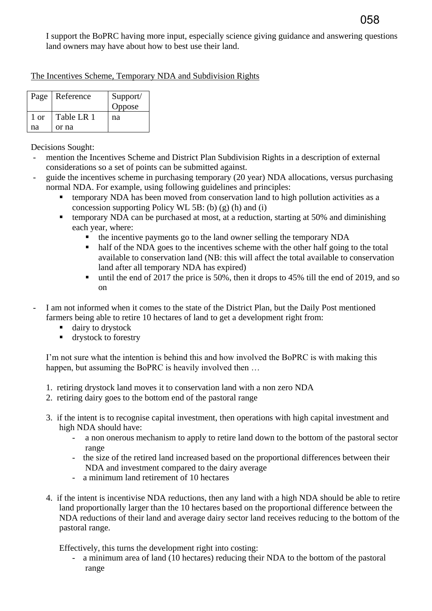I support the BoPRC having more input, especially science giving guidance and answering questions land owners may have about how to best use their land.

#### The Incentives Scheme, Temporary NDA and Subdivision Rights

|      | Page   Reference | Support/<br>Oppose |
|------|------------------|--------------------|
| 1 or | Table LR 1       | na                 |
| na   | or na            |                    |

Decisions Sought:

- mention the Incentives Scheme and District Plan Subdivision Rights in a description of external considerations so a set of points can be submitted against.
- guide the incentives scheme in purchasing temporary (20 year) NDA allocations, versus purchasing normal NDA. For example, using following guidelines and principles:
	- temporary NDA has been moved from conservation land to high pollution activities as a concession supporting Policy WL 5B: (b) (g) (h) and (i)
	- temporary NDA can be purchased at most, at a reduction, starting at 50% and diminishing each year, where:
		- the incentive payments go to the land owner selling the temporary NDA
		- half of the NDA goes to the incentives scheme with the other half going to the total available to conservation land (NB: this will affect the total available to conservation land after all temporary NDA has expired)
		- until the end of 2017 the price is 50%, then it drops to 45% till the end of 2019, and so on
- I am not informed when it comes to the state of the District Plan, but the Daily Post mentioned farmers being able to retire 10 hectares of land to get a development right from:
	- dairy to drystock
	- **drystock to forestry**

I'm not sure what the intention is behind this and how involved the BoPRC is with making this happen, but assuming the BoPRC is heavily involved then ...

- 1. retiring drystock land moves it to conservation land with a non zero NDA
- 2. retiring dairy goes to the bottom end of the pastoral range
- 3. if the intent is to recognise capital investment, then operations with high capital investment and high NDA should have:
	- a non onerous mechanism to apply to retire land down to the bottom of the pastoral sector range
	- the size of the retired land increased based on the proportional differences between their NDA and investment compared to the dairy average
	- a minimum land retirement of 10 hectares
- 4. if the intent is incentivise NDA reductions, then any land with a high NDA should be able to retire land proportionally larger than the 10 hectares based on the proportional difference between the NDA reductions of their land and average dairy sector land receives reducing to the bottom of the pastoral range.

Effectively, this turns the development right into costing:

- a minimum area of land (10 hectares) reducing their NDA to the bottom of the pastoral range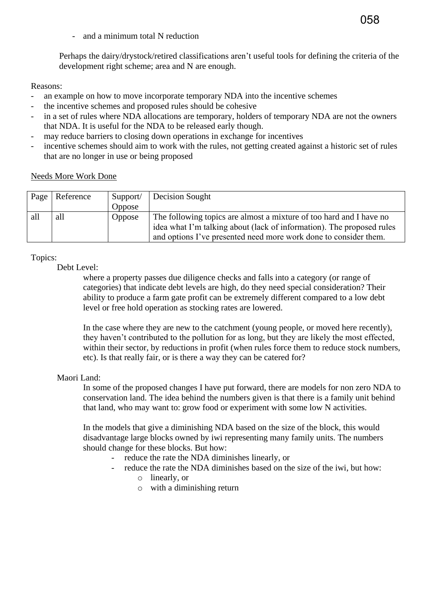- and a minimum total N reduction

Perhaps the dairy/drystock/retired classifications aren't useful tools for defining the criteria of the development right scheme; area and N are enough.

058

#### Reasons:

- an example on how to move incorporate temporary NDA into the incentive schemes
- the incentive schemes and proposed rules should be cohesive
- in a set of rules where NDA allocations are temporary, holders of temporary NDA are not the owners that NDA. It is useful for the NDA to be released early though.
- may reduce barriers to closing down operations in exchange for incentives
- incentive schemes should aim to work with the rules, not getting created against a historic set of rules that are no longer in use or being proposed

|  | <b>Needs More Work Done</b> |  |  |  |
|--|-----------------------------|--|--|--|
|--|-----------------------------|--|--|--|

| Page | Reference | Support/ | <b>Decision Sought</b>                                                |
|------|-----------|----------|-----------------------------------------------------------------------|
|      |           | Oppose   |                                                                       |
| all  | all       | Oppose   | The following topics are almost a mixture of too hard and I have no   |
|      |           |          | idea what I'm talking about (lack of information). The proposed rules |
|      |           |          | and options I've presented need more work done to consider them.      |

#### Topics:

Debt Level:

where a property passes due diligence checks and falls into a category (or range of categories) that indicate debt levels are high, do they need special consideration? Their ability to produce a farm gate profit can be extremely different compared to a low debt level or free hold operation as stocking rates are lowered.

In the case where they are new to the catchment (young people, or moved here recently), they haven't contributed to the pollution for as long, but they are likely the most effected, within their sector, by reductions in profit (when rules force them to reduce stock numbers, etc). Is that really fair, or is there a way they can be catered for?

#### Maori Land:

In some of the proposed changes I have put forward, there are models for non zero NDA to conservation land. The idea behind the numbers given is that there is a family unit behind that land, who may want to: grow food or experiment with some low N activities.

In the models that give a diminishing NDA based on the size of the block, this would disadvantage large blocks owned by iwi representing many family units. The numbers should change for these blocks. But how:

- reduce the rate the NDA diminishes linearly, or
	- reduce the rate the NDA diminishes based on the size of the iwi, but how:
		- o linearly, or
		- o with a diminishing return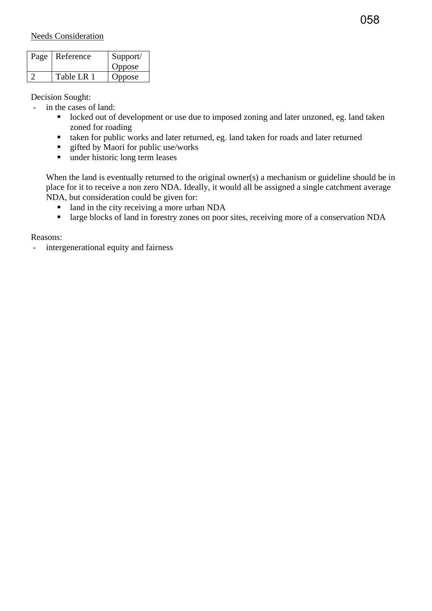| Page | Reference  | Support/<br>Oppose |
|------|------------|--------------------|
|      | Table LR 1 | Oppose             |

Decision Sought:

- in the cases of land:

- **locked out of development or use due to imposed zoning and later unzoned, eg. land taken** zoned for roading
- taken for public works and later returned, eg. land taken for roads and later returned
- $\blacksquare$  gifted by Maori for public use/works
- under historic long term leases

When the land is eventually returned to the original owner(s) a mechanism or guideline should be in place for it to receive a non zero NDA. Ideally, it would all be assigned a single catchment average NDA, but consideration could be given for:

- I and in the city receiving a more urban NDA
- **If** large blocks of land in forestry zones on poor sites, receiving more of a conservation NDA

Reasons:

intergenerational equity and fairness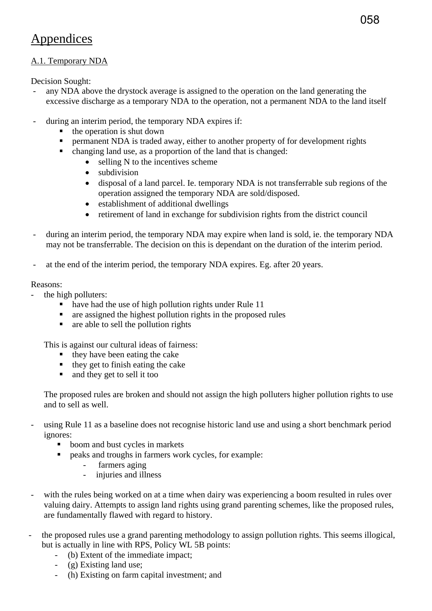## Appendices

#### A.1. Temporary NDA

Decision Sought:

- any NDA above the drystock average is assigned to the operation on the land generating the excessive discharge as a temporary NDA to the operation, not a permanent NDA to the land itself
- during an interim period, the temporary NDA expires if:
	- $\blacksquare$  the operation is shut down
	- **PERM** permanent NDA is traded away, either to another property of for development rights
	- changing land use, as a proportion of the land that is changed:
		- selling N to the incentives scheme
		- subdivision
		- disposal of a land parcel. Ie. temporary NDA is not transferrable sub regions of the operation assigned the temporary NDA are sold/disposed.
		- establishment of additional dwellings
		- retirement of land in exchange for subdivision rights from the district council
- during an interim period, the temporary NDA may expire when land is sold, ie. the temporary NDA may not be transferrable. The decision on this is dependant on the duration of the interim period.
- at the end of the interim period, the temporary NDA expires. Eg. after 20 years.

#### Reasons:

- the high polluters:
	- have had the use of high pollution rights under Rule 11
	- are assigned the highest pollution rights in the proposed rules
	- $\blacksquare$  are able to sell the pollution rights

This is against our cultural ideas of fairness:

- $\blacksquare$  they have been eating the cake
- $\blacksquare$  they get to finish eating the cake
- and they get to sell it too

The proposed rules are broken and should not assign the high polluters higher pollution rights to use and to sell as well.

- using Rule 11 as a baseline does not recognise historic land use and using a short benchmark period ignores:
	- boom and bust cycles in markets
		- peaks and troughs in farmers work cycles, for example:
			- farmers aging
			- injuries and illness
- with the rules being worked on at a time when dairy was experiencing a boom resulted in rules over valuing dairy. Attempts to assign land rights using grand parenting schemes, like the proposed rules, are fundamentally flawed with regard to history.
- the proposed rules use a grand parenting methodology to assign pollution rights. This seems illogical, but is actually in line with RPS, Policy WL 5B points:
	- (b) Extent of the immediate impact;
	- (g) Existing land use;
	- (h) Existing on farm capital investment; and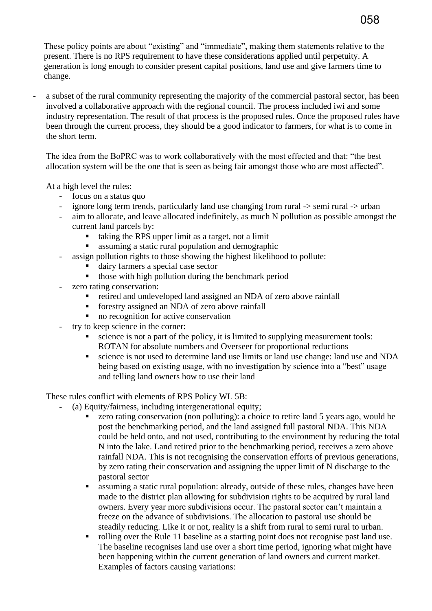These policy points are about "existing" and "immediate", making them statements relative to the present. There is no RPS requirement to have these considerations applied until perpetuity. A generation is long enough to consider present capital positions, land use and give farmers time to change.

a subset of the rural community representing the majority of the commercial pastoral sector, has been involved a collaborative approach with the regional council. The process included iwi and some industry representation. The result of that process is the proposed rules. Once the proposed rules have been through the current process, they should be a good indicator to farmers, for what is to come in the short term.

The idea from the BoPRC was to work collaboratively with the most effected and that: "the best allocation system will be the one that is seen as being fair amongst those who are most affected".

At a high level the rules:

- focus on a status quo
- ignore long term trends, particularly land use changing from rural -> semi rural -> urban
- aim to allocate, and leave allocated indefinitely, as much N pollution as possible amongst the current land parcels by:
	- taking the RPS upper limit as a target, not a limit
	- assuming a static rural population and demographic
- assign pollution rights to those showing the highest likelihood to pollute:
	- dairy farmers a special case sector
	- $\blacksquare$  those with high pollution during the benchmark period
- zero rating conservation:
	- retired and undeveloped land assigned an NDA of zero above rainfall
	- **fi** forestry assigned an NDA of zero above rainfall
	- no recognition for active conservation
- try to keep science in the corner:
	- science is not a part of the policy, it is limited to supplying measurement tools: ROTAN for absolute numbers and Overseer for proportional reductions
	- science is not used to determine land use limits or land use change: land use and NDA being based on existing usage, with no investigation by science into a "best" usage and telling land owners how to use their land

These rules conflict with elements of RPS Policy WL 5B:

- (a) Equity/fairness, including intergenerational equity;
	- zero rating conservation (non polluting): a choice to retire land 5 years ago, would be post the benchmarking period, and the land assigned full pastoral NDA. This NDA could be held onto, and not used, contributing to the environment by reducing the total N into the lake. Land retired prior to the benchmarking period, receives a zero above rainfall NDA. This is not recognising the conservation efforts of previous generations, by zero rating their conservation and assigning the upper limit of N discharge to the pastoral sector
	- assuming a static rural population: already, outside of these rules, changes have been made to the district plan allowing for subdivision rights to be acquired by rural land owners. Every year more subdivisions occur. The pastoral sector can't maintain a freeze on the advance of subdivisions. The allocation to pastoral use should be steadily reducing. Like it or not, reality is a shift from rural to semi rural to urban.
	- rolling over the Rule 11 baseline as a starting point does not recognise past land use. The baseline recognises land use over a short time period, ignoring what might have been happening within the current generation of land owners and current market. Examples of factors causing variations: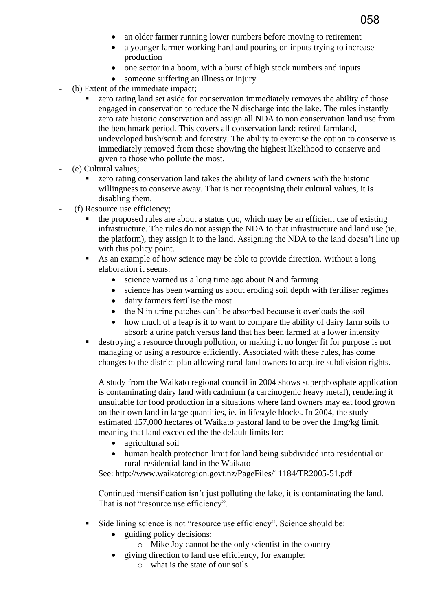- an older farmer running lower numbers before moving to retirement
- a younger farmer working hard and pouring on inputs trying to increase production

058

- one sector in a boom, with a burst of high stock numbers and inputs
- someone suffering an illness or injury
- (b) Extent of the immediate impact;
	- zero rating land set aside for conservation immediately removes the ability of those engaged in conservation to reduce the N discharge into the lake. The rules instantly zero rate historic conservation and assign all NDA to non conservation land use from the benchmark period. This covers all conservation land: retired farmland, undeveloped bush/scrub and forestry. The ability to exercise the option to conserve is immediately removed from those showing the highest likelihood to conserve and given to those who pollute the most.
- (e) Cultural values;
	- zero rating conservation land takes the ability of land owners with the historic willingness to conserve away. That is not recognising their cultural values, it is disabling them.
- (f) Resource use efficiency;
	- the proposed rules are about a status quo, which may be an efficient use of existing infrastructure. The rules do not assign the NDA to that infrastructure and land use (ie. the platform), they assign it to the land. Assigning the NDA to the land doesn't line up with this policy point.
	- As an example of how science may be able to provide direction. Without a long elaboration it seems:
		- science warned us a long time ago about N and farming
		- science has been warning us about eroding soil depth with fertiliser regimes
		- dairy farmers fertilise the most
		- the N in urine patches can't be absorbed because it overloads the soil
		- how much of a leap is it to want to compare the ability of dairy farm soils to absorb a urine patch versus land that has been farmed at a lower intensity
	- destroying a resource through pollution, or making it no longer fit for purpose is not managing or using a resource efficiently. Associated with these rules, has come changes to the district plan allowing rural land owners to acquire subdivision rights.

A study from the Waikato regional council in 2004 shows superphosphate application is contaminating dairy land with cadmium (a carcinogenic heavy metal), rendering it unsuitable for food production in a situations where land owners may eat food grown on their own land in large quantities, ie. in lifestyle blocks. In 2004, the study estimated 157,000 hectares of Waikato pastoral land to be over the 1mg/kg limit, meaning that land exceeded the the default limits for:

- agricultural soil
- human health protection limit for land being subdivided into residential or rural-residential land in the Waikato

See: http://www.waikatoregion.govt.nz/PageFiles/11184/TR2005-51.pdf

Continued intensification isn't just polluting the lake, it is contaminating the land. That is not "resource use efficiency".

- Side lining science is not "resource use efficiency". Science should be:
	- guiding policy decisions:
		- o Mike Joy cannot be the only scientist in the country
	- giving direction to land use efficiency, for example:
		- o what is the state of our soils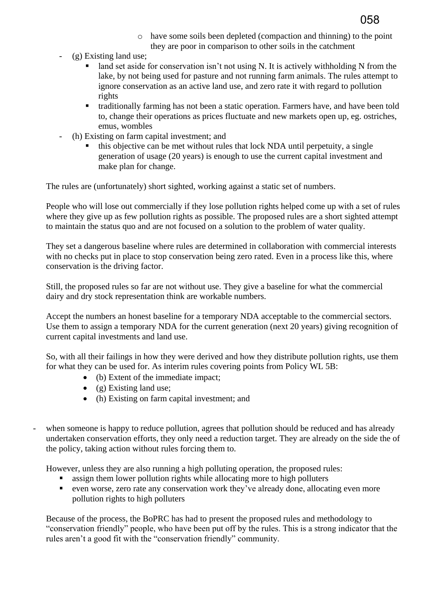

- o have some soils been depleted (compaction and thinning) to the point they are poor in comparison to other soils in the catchment
- (g) Existing land use;
	- land set aside for conservation isn't not using N. It is actively withholding N from the lake, by not being used for pasture and not running farm animals. The rules attempt to ignore conservation as an active land use, and zero rate it with regard to pollution rights
	- traditionally farming has not been a static operation. Farmers have, and have been told to, change their operations as prices fluctuate and new markets open up, eg. ostriches, emus, wombles
- (h) Existing on farm capital investment; and
	- this objective can be met without rules that lock NDA until perpetuity, a single generation of usage (20 years) is enough to use the current capital investment and make plan for change.

The rules are (unfortunately) short sighted, working against a static set of numbers.

People who will lose out commercially if they lose pollution rights helped come up with a set of rules where they give up as few pollution rights as possible. The proposed rules are a short sighted attempt to maintain the status quo and are not focused on a solution to the problem of water quality.

They set a dangerous baseline where rules are determined in collaboration with commercial interests with no checks put in place to stop conservation being zero rated. Even in a process like this, where conservation is the driving factor.

Still, the proposed rules so far are not without use. They give a baseline for what the commercial dairy and dry stock representation think are workable numbers.

Accept the numbers an honest baseline for a temporary NDA acceptable to the commercial sectors. Use them to assign a temporary NDA for the current generation (next 20 years) giving recognition of current capital investments and land use.

So, with all their failings in how they were derived and how they distribute pollution rights, use them for what they can be used for. As interim rules covering points from Policy WL 5B:

- (b) Extent of the immediate impact;
- $\bullet$  (g) Existing land use;
- (h) Existing on farm capital investment; and
- when someone is happy to reduce pollution, agrees that pollution should be reduced and has already undertaken conservation efforts, they only need a reduction target. They are already on the side the of the policy, taking action without rules forcing them to.

However, unless they are also running a high polluting operation, the proposed rules:

- **Example 1** assign them lower pollution rights while allocating more to high polluters
- even worse, zero rate any conservation work they've already done, allocating even more pollution rights to high polluters

Because of the process, the BoPRC has had to present the proposed rules and methodology to "conservation friendly" people, who have been put off by the rules. This is a strong indicator that the rules aren't a good fit with the "conservation friendly" community.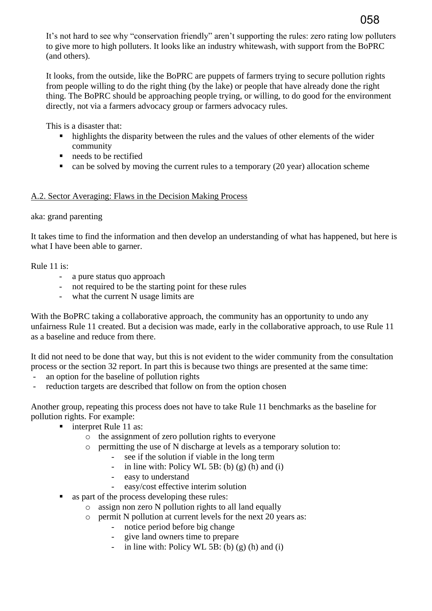It's not hard to see why "conservation friendly" aren't supporting the rules: zero rating low polluters to give more to high polluters. It looks like an industry whitewash, with support from the BoPRC (and others).

It looks, from the outside, like the BoPRC are puppets of farmers trying to secure pollution rights from people willing to do the right thing (by the lake) or people that have already done the right thing. The BoPRC should be approaching people trying, or willing, to do good for the environment directly, not via a farmers advocacy group or farmers advocacy rules.

This is a disaster that:

- highlights the disparity between the rules and the values of other elements of the wider community
- needs to be rectified
- $\blacksquare$  can be solved by moving the current rules to a temporary (20 year) allocation scheme

#### A.2. Sector Averaging: Flaws in the Decision Making Process

#### aka: grand parenting

It takes time to find the information and then develop an understanding of what has happened, but here is what I have been able to garner.

#### Rule 11 is:

- a pure status quo approach
- not required to be the starting point for these rules
- what the current N usage limits are

With the BoPRC taking a collaborative approach, the community has an opportunity to undo any unfairness Rule 11 created. But a decision was made, early in the collaborative approach, to use Rule 11 as a baseline and reduce from there.

It did not need to be done that way, but this is not evident to the wider community from the consultation process or the section 32 report. In part this is because two things are presented at the same time:

- an option for the baseline of pollution rights
- reduction targets are described that follow on from the option chosen

Another group, repeating this process does not have to take Rule 11 benchmarks as the baseline for pollution rights. For example:

- interpret Rule 11 as:
	- o the assignment of zero pollution rights to everyone
	- o permitting the use of N discharge at levels as a temporary solution to:
		- see if the solution if viable in the long term
		- in line with: Policy WL 5B: (b) (g) (h) and (i)
		- easy to understand
		- easy/cost effective interim solution
- as part of the process developing these rules:
	- o assign non zero N pollution rights to all land equally
	- o permit N pollution at current levels for the next 20 years as:
		- notice period before big change
		- give land owners time to prepare
		- in line with: Policy WL 5B: (b)  $(g)$  (h) and (i)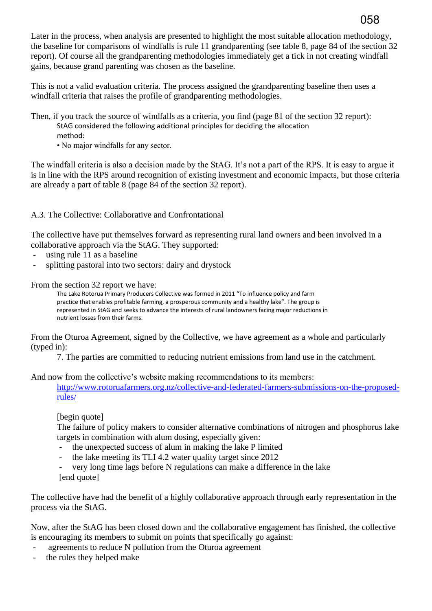Later in the process, when analysis are presented to highlight the most suitable allocation methodology, the baseline for comparisons of windfalls is rule 11 grandparenting (see table 8, page 84 of the section 32 report). Of course all the grandparenting methodologies immediately get a tick in not creating windfall gains, because grand parenting was chosen as the baseline.

058

This is not a valid evaluation criteria. The process assigned the grandparenting baseline then uses a windfall criteria that raises the profile of grandparenting methodologies.

Then, if you track the source of windfalls as a criteria, you find (page 81 of the section 32 report):

- StAG considered the following additional principles for deciding the allocation method:
- No major windfalls for any sector.

The windfall criteria is also a decision made by the StAG. It's not a part of the RPS. It is easy to argue it is in line with the RPS around recognition of existing investment and economic impacts, but those criteria are already a part of table 8 (page 84 of the section 32 report).

## A.3. The Collective: Collaborative and Confrontational

The collective have put themselves forward as representing rural land owners and been involved in a collaborative approach via the StAG. They supported:

- using rule 11 as a baseline
- splitting pastoral into two sectors: dairy and drystock

From the section 32 report we have:

The Lake Rotorua Primary Producers Collective was formed in 2011 "To influence policy and farm practice that enables profitable farming, a prosperous community and a healthy lake". The group is represented in StAG and seeks to advance the interests of rural landowners facing major reductions in nutrient losses from their farms.

From the Oturoa Agreement, signed by the Collective, we have agreement as a whole and particularly (typed in):

7. The parties are committed to reducing nutrient emissions from land use in the catchment.

And now from the collective's website making recommendations to its members:

[http://www.rotoruafarmers.org.nz/collective-and-federated-farmers-submissions-on-the-proposed](http://www.rotoruafarmers.org.nz/collective-and-federated-farmers-submissions-on-the-proposed-rules/)[rules/](http://www.rotoruafarmers.org.nz/collective-and-federated-farmers-submissions-on-the-proposed-rules/)

[begin quote]

The failure of policy makers to consider alternative combinations of nitrogen and phosphorus lake targets in combination with alum dosing, especially given:

- the unexpected success of alum in making the lake P limited
- the lake meeting its TLI 4.2 water quality target since 2012

very long time lags before N regulations can make a difference in the lake [end quote]

The collective have had the benefit of a highly collaborative approach through early representation in the process via the StAG.

Now, after the StAG has been closed down and the collaborative engagement has finished, the collective is encouraging its members to submit on points that specifically go against:

- agreements to reduce N pollution from the Oturoa agreement
- the rules they helped make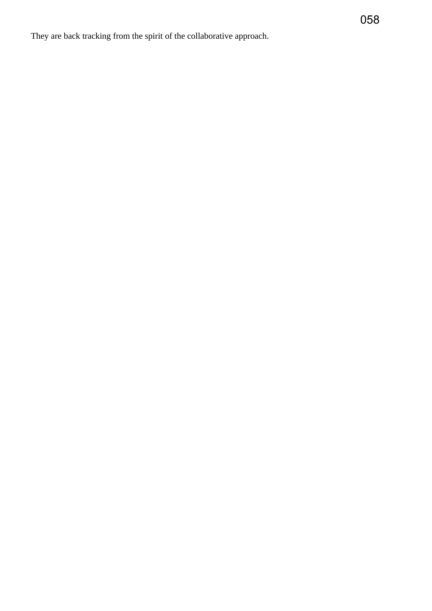They are back tracking from the spirit of the collaborative approach.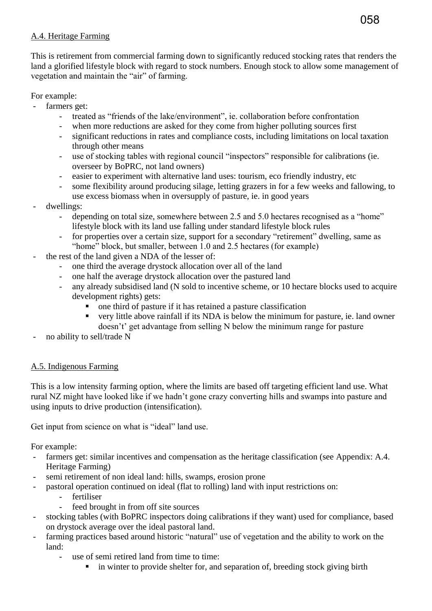## A.4. Heritage Farming

This is retirement from commercial farming down to significantly reduced stocking rates that renders the land a glorified lifestyle block with regard to stock numbers. Enough stock to allow some management of vegetation and maintain the "air" of farming.

## For example:

- farmers get:
	- treated as "friends of the lake/environment", ie. collaboration before confrontation
	- when more reductions are asked for they come from higher polluting sources first
	- significant reductions in rates and compliance costs, including limitations on local taxation through other means
	- use of stocking tables with regional council "inspectors" responsible for calibrations (ie. overseer by BoPRC, not land owners)
	- easier to experiment with alternative land uses: tourism, eco friendly industry, etc
	- some flexibility around producing silage, letting grazers in for a few weeks and fallowing, to use excess biomass when in oversupply of pasture, ie. in good years
- dwellings:
	- depending on total size, somewhere between 2.5 and 5.0 hectares recognised as a "home" lifestyle block with its land use falling under standard lifestyle block rules
	- for properties over a certain size, support for a secondary "retirement" dwelling, same as "home" block, but smaller, between 1.0 and 2.5 hectares (for example)
- the rest of the land given a NDA of the lesser of:
	- one third the average drystock allocation over all of the land
	- one half the average drystock allocation over the pastured land
	- any already subsidised land (N sold to incentive scheme, or 10 hectare blocks used to acquire development rights) gets:
		- one third of pasture if it has retained a pasture classification
		- very little above rainfall if its NDA is below the minimum for pasture, ie. land owner doesn't' get advantage from selling N below the minimum range for pasture
- no ability to sell/trade N

## A.5. Indigenous Farming

This is a low intensity farming option, where the limits are based off targeting efficient land use. What rural NZ might have looked like if we hadn't gone crazy converting hills and swamps into pasture and using inputs to drive production (intensification).

Get input from science on what is "ideal" land use.

For example:

- farmers get: similar incentives and compensation as the heritage classification (see Appendix: A.4.) Heritage Farming)
- semi retirement of non ideal land: hills, swamps, erosion prone
- pastoral operation continued on ideal (flat to rolling) land with input restrictions on:
	- fertiliser
	- feed brought in from off site sources
- stocking tables (with BoPRC inspectors doing calibrations if they want) used for compliance, based on drystock average over the ideal pastoral land.
- farming practices based around historic "natural" use of vegetation and the ability to work on the land:
	- use of semi retired land from time to time:
		- in winter to provide shelter for, and separation of, breeding stock giving birth